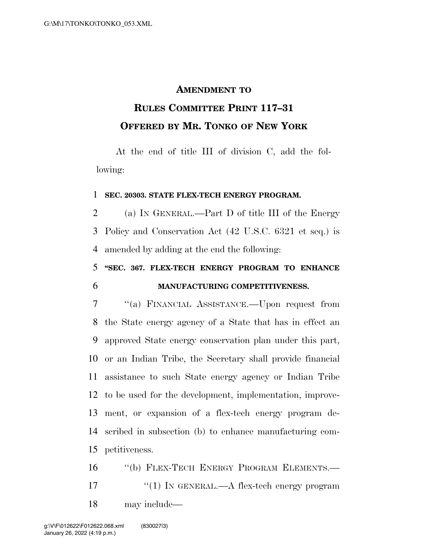## **AMENDMENT TO**

## **RULES COMMITTEE PRINT 117–31 OFFERED BY MR. TONKO OF NEW YORK**

At the end of title III of division C, add the following:

## **SEC. 20303. STATE FLEX-TECH ENERGY PROGRAM.**

 (a) IN GENERAL.—Part D of title III of the Energy Policy and Conservation Act (42 U.S.C. 6321 et seq.) is amended by adding at the end the following:

 **''SEC. 367. FLEX-TECH ENERGY PROGRAM TO ENHANCE MANUFACTURING COMPETITIVENESS.** 

 ''(a) FINANCIAL ASSISTANCE.—Upon request from the State energy agency of a State that has in effect an approved State energy conservation plan under this part, or an Indian Tribe, the Secretary shall provide financial assistance to such State energy agency or Indian Tribe to be used for the development, implementation, improve- ment, or expansion of a flex-tech energy program de- scribed in subsection (b) to enhance manufacturing com-petitiveness.

16 "(b) FLEX-TECH ENERGY PROGRAM ELEMENTS.— 17  $\frac{17}{10}$  In GENERAL.—A flex-tech energy program may include—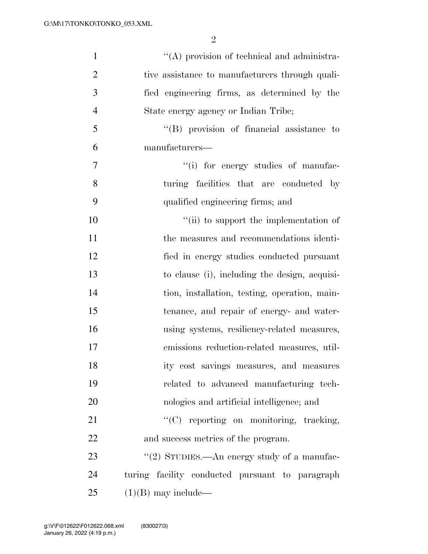| $\mathbf{1}$   | $\lq\lq$ provision of technical and administra- |
|----------------|-------------------------------------------------|
| $\overline{2}$ | tive assistance to manufacturers through quali- |
| 3              | fied engineering firms, as determined by the    |
| $\overline{4}$ | State energy agency or Indian Tribe;            |
| 5              | "(B) provision of financial assistance to       |
| 6              | manufacturers—                                  |
| 7              | "(i) for energy studies of manufac-             |
| 8              | turing facilities that are conducted by         |
| 9              | qualified engineering firms; and                |
| 10             | "(ii) to support the implementation of          |
| 11             | the measures and recommendations identi-        |
| 12             | fied in energy studies conducted pursuant       |
| 13             | to clause (i), including the design, acquisi-   |
| 14             | tion, installation, testing, operation, main-   |
| 15             | tenance, and repair of energy- and water-       |
| 16             | using systems, resiliency-related measures,     |
| 17             | emissions reduction-related measures, util-     |
| 18             | ity cost savings measures, and measures         |
| 19             | related to advanced manufacturing tech-         |
| 20             | nologies and artificial intelligence; and       |
| 21             | "(C) reporting on monitoring, tracking,         |
| 22             | and success metrics of the program.             |
| 23             | "(2) STUDIES.—An energy study of a manufac-     |
| 24             | turing facility conducted pursuant to paragraph |
| 25             | $(1)(B)$ may include—                           |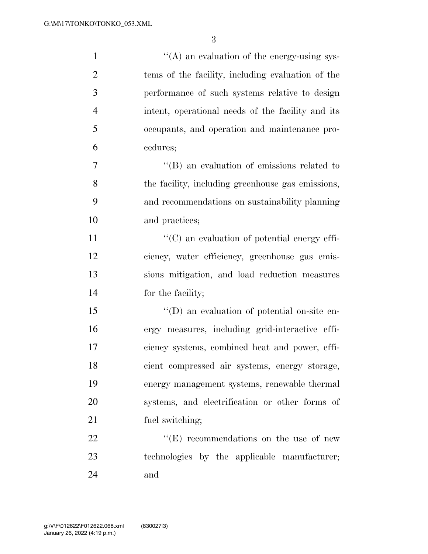| $\mathbf{1}$   | "(A) an evaluation of the energy-using sys-        |
|----------------|----------------------------------------------------|
| $\overline{2}$ | tems of the facility, including evaluation of the  |
| 3              | performance of such systems relative to design     |
| 4              | intent, operational needs of the facility and its  |
| 5              | occupants, and operation and maintenance pro-      |
| 6              | cedures;                                           |
| $\overline{7}$ | $\lq\lq (B)$ an evaluation of emissions related to |
| 8              | the facility, including greenhouse gas emissions,  |
| 9              | and recommendations on sustainability planning     |
| 10             | and practices;                                     |
| 11             | "(C) an evaluation of potential energy effi-       |
| 12             | ciency, water efficiency, greenhouse gas emis-     |
| 13             | sions mitigation, and load reduction measures      |
| 14             | for the facility;                                  |
| 15             | "(D) an evaluation of potential on-site en-        |
| 16             | ergy measures, including grid-interactive effi-    |
| 17             | ciency systems, combined heat and power, effi-     |
| 18             | cient compressed air systems, energy storage,      |
| 19             | energy management systems, renewable thermal       |
| 20             | systems, and electrification or other forms of     |
| 21             | fuel switching;                                    |
| 22             | $\lq\lq(E)$ recommendations on the use of new      |
| 23             | technologies by the applicable manufacturer;       |
| 24             | and                                                |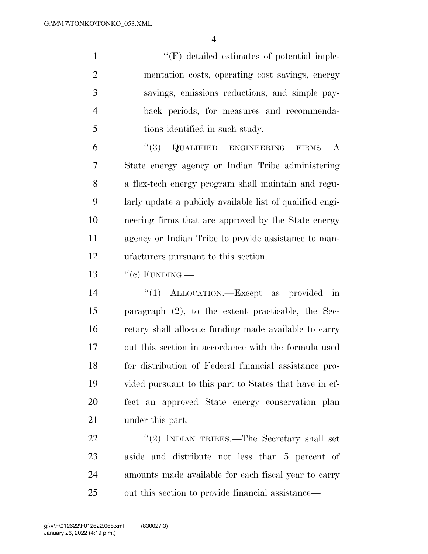$\langle \langle F \rangle$  detailed estimates of potential imple- mentation costs, operating cost savings, energy savings, emissions reductions, and simple pay- back periods, for measures and recommenda-tions identified in such study.

 ''(3) QUALIFIED ENGINEERING FIRMS.—A State energy agency or Indian Tribe administering a flex-tech energy program shall maintain and regu- larly update a publicly available list of qualified engi- neering firms that are approved by the State energy agency or Indian Tribe to provide assistance to man-ufacturers pursuant to this section.

 $\frac{13}{2}$  ''(c) FUNDING.

 $\frac{1}{2}$   $\frac{1}{2}$  ALLOCATION. Except as provided in paragraph (2), to the extent practicable, the Sec- retary shall allocate funding made available to carry out this section in accordance with the formula used for distribution of Federal financial assistance pro- vided pursuant to this part to States that have in ef- fect an approved State energy conservation plan under this part.

22 "(2) INDIAN TRIBES.—The Secretary shall set aside and distribute not less than 5 percent of amounts made available for each fiscal year to carry out this section to provide financial assistance—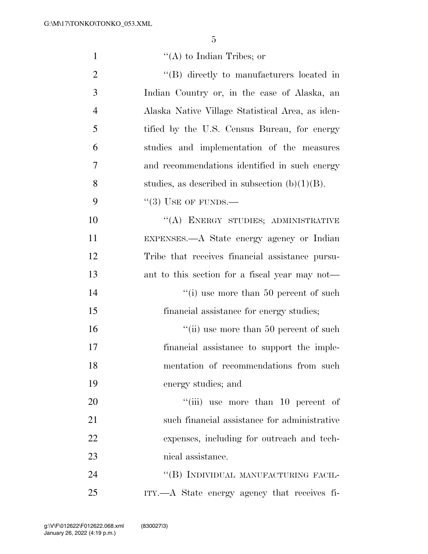| $\mathbf{1}$   | $\lq\lq$ to Indian Tribes; or                     |
|----------------|---------------------------------------------------|
| $\overline{2}$ | "(B) directly to manufacturers located in         |
| 3              | Indian Country or, in the case of Alaska, an      |
| $\overline{4}$ | Alaska Native Village Statistical Area, as iden-  |
| 5              | tified by the U.S. Census Bureau, for energy      |
| 6              | studies and implementation of the measures        |
| 7              | and recommendations identified in such energy     |
| 8              | studies, as described in subsection $(b)(1)(B)$ . |
| 9              | $\lq(3)$ USE OF FUNDS.—                           |
| 10             | "(A) ENERGY STUDIES; ADMINISTRATIVE               |
| 11             | EXPENSES.—A State energy agency or Indian         |
| 12             | Tribe that receives financial assistance pursu-   |
| 13             | ant to this section for a fiscal year may not—    |
| 14             | "(i) use more than $50$ percent of such           |
| 15             | financial assistance for energy studies;          |
| 16             | "(ii) use more than 50 percent of such            |
| 17             | financial assistance to support the imple-        |
| 18             | mentation of recommendations from such            |
| 19             | energy studies; and                               |
| 20             | "(iii) use more than 10 percent of                |
| 21             | such financial assistance for administrative      |
| 22             | expenses, including for outreach and tech-        |
| 23             | nical assistance.                                 |
| 24             | "(B) INDIVIDUAL MANUFACTURING FACIL-              |
| 25             | ITY.—A State energy agency that receives fi-      |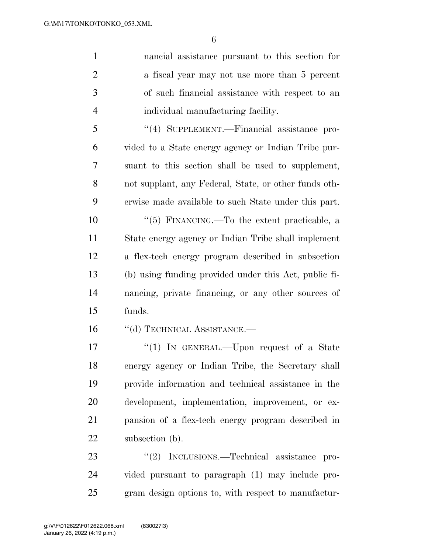nancial assistance pursuant to this section for a fiscal year may not use more than 5 percent of such financial assistance with respect to an individual manufacturing facility.

 ''(4) SUPPLEMENT.—Financial assistance pro- vided to a State energy agency or Indian Tribe pur- suant to this section shall be used to supplement, not supplant, any Federal, State, or other funds oth-erwise made available to such State under this part.

 ''(5) FINANCING.—To the extent practicable, a State energy agency or Indian Tribe shall implement a flex-tech energy program described in subsection (b) using funding provided under this Act, public fi- nancing, private financing, or any other sources of funds.

16 "(d) TECHNICAL ASSISTANCE.—

17 "(1) In GENERAL.—Upon request of a State energy agency or Indian Tribe, the Secretary shall provide information and technical assistance in the development, implementation, improvement, or ex- pansion of a flex-tech energy program described in 22 subsection (b).

23 "(2) INCLUSIONS.—Technical assistance pro- vided pursuant to paragraph (1) may include pro-gram design options to, with respect to manufactur-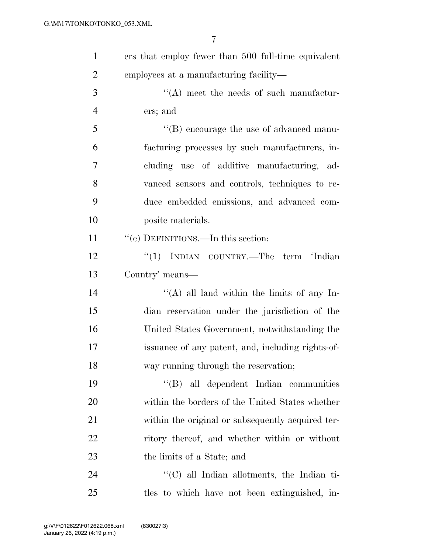| $\mathbf{1}$   | ers that employ fewer than 500 full-time equivalent |
|----------------|-----------------------------------------------------|
| $\overline{2}$ | employees at a manufacturing facility—              |
| 3              | $\lq\lq$ meet the needs of such manufactur-         |
| $\overline{4}$ | ers; and                                            |
| 5              | $\lq\lq$ (B) encourage the use of advanced manu-    |
| 6              | facturing processes by such manufacturers, in-      |
| 7              | cluding use of additive manufacturing, ad-          |
| 8              | vanced sensors and controls, techniques to re-      |
| 9              | duce embedded emissions, and advanced com-          |
| 10             | posite materials.                                   |
| 11             | "(e) DEFINITIONS.—In this section:                  |
| 12             | "(1) INDIAN COUNTRY.—The term 'Indian               |
| 13             | Country' means—                                     |
| 14             | "(A) all land within the limits of any In-          |
| 15             | dian reservation under the jurisdiction of the      |
| 16             | United States Government, notwithstanding the       |
| 17             | issuance of any patent, and, including rights-of-   |
| 18             | way running through the reservation;                |
| 19             | "(B) all dependent Indian communities               |
| 20             | within the borders of the United States whether     |
| 21             | within the original or subsequently acquired ter-   |
| 22             | ritory thereof, and whether within or without       |
| 23             | the limits of a State; and                          |
| 24             | "(C) all Indian allotments, the Indian ti-          |
| 25             | tles to which have not been extinguished, in-       |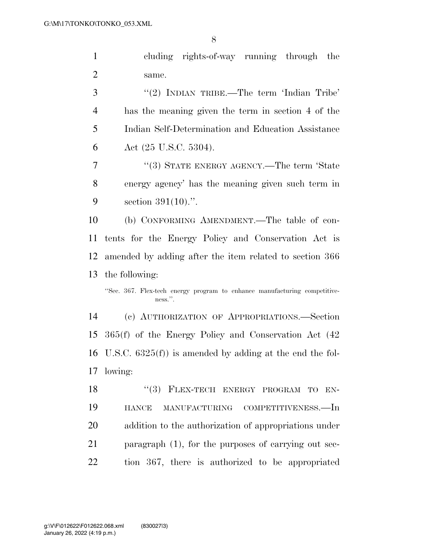cluding rights-of-way running through the same.

3 "(2) INDIAN TRIBE.—The term 'Indian Tribe' has the meaning given the term in section 4 of the Indian Self-Determination and Education Assistance Act (25 U.S.C. 5304).

7 "(3) STATE ENERGY AGENCY.—The term 'State energy agency' has the meaning given such term in section 391(10).''.

 (b) CONFORMING AMENDMENT.—The table of con- tents for the Energy Policy and Conservation Act is amended by adding after the item related to section 366 the following:

''Sec. 367. Flex-tech energy program to enhance manufacturing competitiveness.''.

 (c) AUTHORIZATION OF APPROPRIATIONS.—Section 365(f) of the Energy Policy and Conservation Act (42 U.S.C. 6325(f)) is amended by adding at the end the fol-lowing:

18 "(3) FLEX-TECH ENERGY PROGRAM TO EN- HANCE MANUFACTURING COMPETITIVENESS.—In addition to the authorization of appropriations under 21 paragraph (1), for the purposes of carrying out sec-tion 367, there is authorized to be appropriated